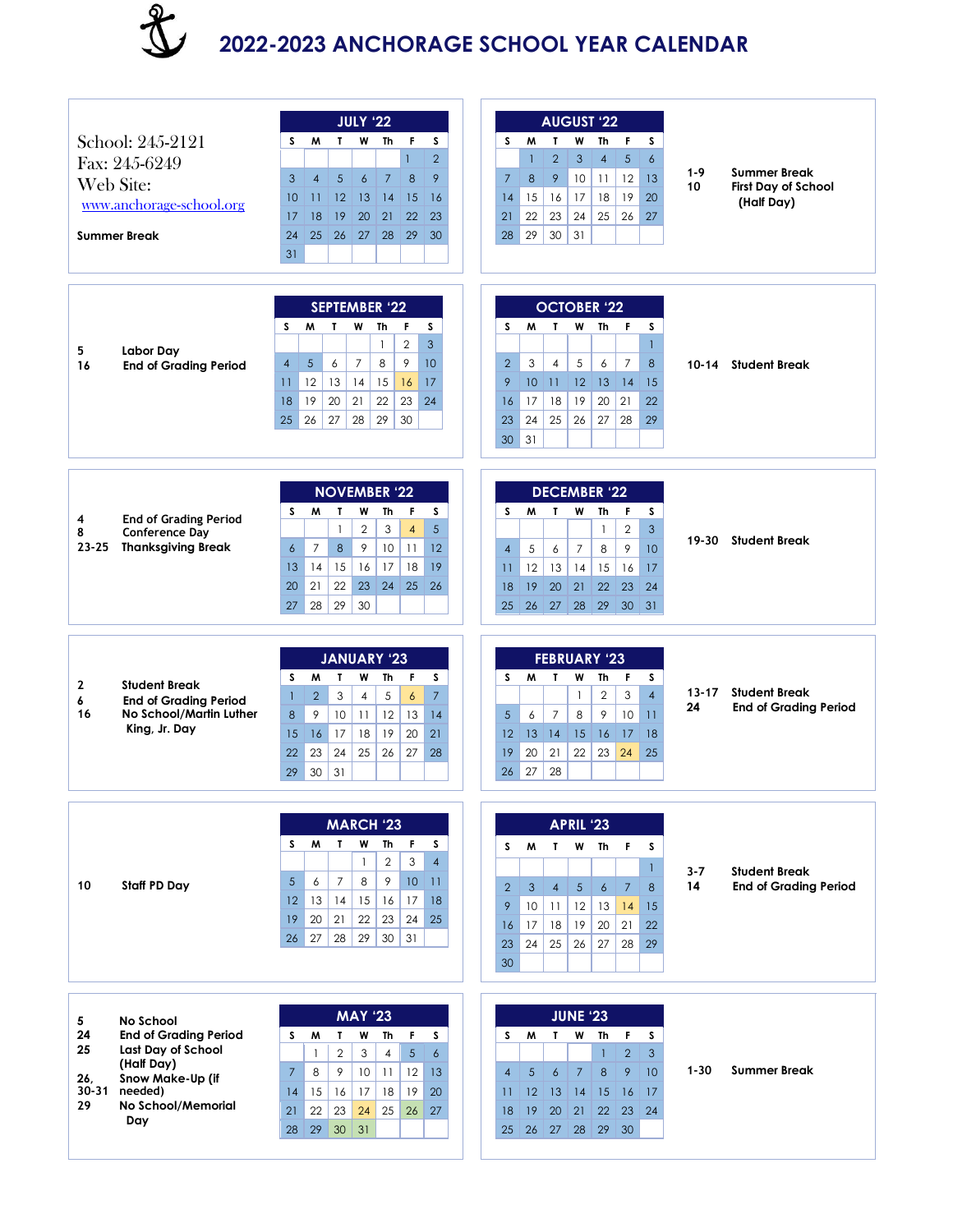

## **2022-2023 ANCHORAGE SCHOOL YEAR CALENDAR**

| School: 245-2121<br>Fax: 245-6249<br>Web Site:<br>www.anchorage-school.org<br><b>Summer Break</b> |                                                                                                                                                  | <b>JULY '22</b><br>F.<br>s<br>W<br>W<br>Th<br>s<br>$\mathbf{I}$<br>$\mathbf{1}$<br>$\overline{2}$<br>5<br>$\overline{7}$<br>8<br>9<br>3<br>$\overline{4}$<br>$\epsilon$<br>12<br>$\vert$ 13<br> 14<br>15<br>16<br>10<br>$\overline{11}$<br>21<br>22<br>23<br>17<br>18<br>19<br>20<br>30<br>24<br>26<br>27<br>28<br>29<br>25<br>31 | <b>AUGUST '22</b><br>M<br>T<br>W<br>Th<br>F<br>s<br>s<br>$\overline{2}$<br>$5\phantom{.}$<br>$\mathbf{1}$<br>3<br>$\overline{4}$<br>$\epsilon$<br>12<br>9<br>10<br>13<br>$\overline{7}$<br>8<br>11<br>19<br>20<br>18<br>14<br>15<br>16<br>17<br>26<br>22<br>23<br>24<br>25<br>27<br>21<br>28<br>29<br>30<br>31                      | $1 - 9$<br>10   | <b>Summer Break</b><br><b>First Day of School</b><br>(Half Day) |
|---------------------------------------------------------------------------------------------------|--------------------------------------------------------------------------------------------------------------------------------------------------|-----------------------------------------------------------------------------------------------------------------------------------------------------------------------------------------------------------------------------------------------------------------------------------------------------------------------------------|-------------------------------------------------------------------------------------------------------------------------------------------------------------------------------------------------------------------------------------------------------------------------------------------------------------------------------------|-----------------|-----------------------------------------------------------------|
| 5<br>16                                                                                           | Labor Day<br><b>End of Grading Period</b>                                                                                                        | <b>SEPTEMBER '22</b><br>s<br>S.<br>W<br>F.<br>M<br>Т<br>Th<br>$\overline{2}$<br>3<br>$\mathbf{1}$<br>5 <sup>5</sup><br>$\overline{7}$<br>8<br>9<br>10<br>$\overline{4}$<br>6<br>12<br>13<br>14<br>15<br>16<br>17<br>11<br>19<br>18<br>20<br>21<br>22<br>23<br>24<br>25<br>26<br>27<br>29<br>30<br>28                              | <b>OCTOBER '22</b><br>F<br>S<br>W<br>Th<br>s<br>M<br>T<br>$\mathbf{1}$<br>6<br>2<br>3<br>$\overline{4}$<br>5<br>$\overline{7}$<br>8<br>10 <sup>°</sup><br>11<br>12<br>13<br>14<br>9<br>15<br>18<br>19<br>20<br>21<br>22<br>16<br>17<br>23<br>24<br>25<br>26<br>29<br>27<br>28<br>31<br>30                                           | $10 - 14$       | <b>Student Break</b>                                            |
| 4<br>8<br>$23 - 25$                                                                               | <b>End of Grading Period</b><br><b>Conference Day</b><br><b>Thanksgiving Break</b>                                                               | <b>NOVEMBER '22</b><br>S.<br>M<br>T.<br>W<br>Th<br>F.<br>s<br>$\mathbf{2}$<br>3<br>$\overline{4}$<br>5<br>$\mathbf{1}$<br>9<br>$\overline{6}$<br>$\overline{7}$<br>8<br>10<br>11<br>12<br>15<br>16<br>17<br>18<br>19<br>14<br>13<br>20<br>21<br>22<br>23<br>24<br>25<br>$\vert$ 26<br>29<br>30<br>27<br>28                        | <b>DECEMBER '22</b><br>T<br>w<br>F.<br>s<br>s<br>M<br>Th<br>$\overline{2}$<br>3<br>$\mathbf{1}$<br>9<br>$\overline{7}$<br>8<br>$\overline{4}$<br>5<br>$\boldsymbol{6}$<br>10<br>12<br>13<br>15<br>16<br>14<br>17<br>$\overline{11}$<br>20<br>21<br>18<br>19<br>22<br>23<br>24<br>26<br>27<br>$28 \mid 29$<br>30<br>31<br>25         | $19 - 30$       | <b>Student Break</b>                                            |
| 2<br>6<br>16                                                                                      | <b>Student Break</b><br><b>End of Grading Period</b><br>No School/Martin Luther<br>King, Jr. Day                                                 | <b>JANUARY '23</b><br>M<br>F<br>s<br>T<br>W<br>Th<br>s<br>5<br>$\overline{7}$<br>$\overline{2}$<br>3<br>$\overline{4}$<br>$\boldsymbol{6}$<br>$\mathbf{1}$<br>9<br>10<br>12<br>13<br>8<br>11<br> 4<br>18<br>19<br>20<br>21<br>15<br>16<br>17<br>22<br>23<br>24<br>25<br>26<br>27<br>28<br>30<br>31<br>29                          | <b>FEBRUARY '23</b><br>s<br>W<br>T<br>W<br>Th<br>F<br>s<br>3<br>$\overline{4}$<br>$\overline{2}$<br>$\mathbf{1}$<br>$\overline{7}$<br>9<br>6<br>8<br>10<br>11<br>$\sqrt{5}$<br>14<br>16<br>12<br>13<br>15<br>17<br>18<br>21<br>22<br>20<br>23<br>24<br>19<br>25<br>27<br>28<br>26                                                   | $13 - 17$<br>24 | <b>Student Break</b><br><b>End of Grading Period</b>            |
| 10                                                                                                | Staff PD Day                                                                                                                                     | <b>MARCH '23</b><br>W<br>s<br>T.<br>W<br>Th<br>F.<br>s<br>$\overline{2}$<br>3<br>$\mathbf{1}$<br>$\overline{4}$<br>5<br>6<br>$\overline{7}$<br>8<br>9<br>10<br>$\overline{11}$<br>15<br>18<br>13<br> 14 <br>16<br>17<br>12<br>19<br>21<br>22<br>23<br>24<br>25<br>20<br>29<br>30<br>31<br>27<br>28<br>26                          | <b>APRIL '23</b><br>T W Th<br>$\mathsf{F}$<br>S.<br>$\mathsf{M}$<br>s<br>$\mathbf{I}$<br>8<br>$\overline{2}$<br>$\mathbf{3}$<br>$\overline{4}$<br>5 <sup>1</sup><br>$\epsilon$<br>$\overline{7}$<br>11<br>12<br>9<br>10<br>13<br>14<br>15<br>17<br>18<br>19<br>20<br>21<br>22<br>16<br>28<br>24<br>25<br>26<br>27<br>29<br>23<br>30 | $3 - 7$<br>14   | <b>Student Break</b><br><b>End of Grading Period</b>            |
| 5<br>24<br>25<br>26,<br>$30 - 31$<br>29                                                           | <b>No School</b><br><b>End of Grading Period</b><br>Last Day of School<br>(Half Day)<br>Snow Make-Up (if<br>needed)<br>No School/Memorial<br>Day | <b>MAY '23</b><br>F.<br>M<br>T.<br>W<br>Th<br>s<br>S.<br>$\overline{2}$<br>$\overline{4}$<br>5<br>3<br>$\epsilon$<br>$\mathbf{1}$<br>$\overline{7}$<br>9<br>10 <sup>°</sup><br>12<br>8<br>11<br>13<br>15<br>  16  <br>17<br>19<br>14<br>18<br>20<br>22<br>23<br>24<br>25<br>26<br>21<br>27<br>29<br>30<br>31<br>28                | <b>JUNE '23</b><br>$\mathbf{I}$<br>W<br>F.<br>s<br>s.<br>M<br>Th<br>$\overline{2}$<br>$\mathbf{1}$<br>3<br>$\overline{4}$<br>$\sqrt{5}$<br>$\ddot{\delta}$<br>8<br>9<br>10<br>$7^{\circ}$<br>14<br>12 <sup>2</sup><br>13<br>15<br>16<br>17<br>11<br>19<br>20<br>21<br>22<br>23<br>24<br>18<br>26 27 28 29<br>30<br>25               | $1 - 30$        | <b>Summer Break</b>                                             |